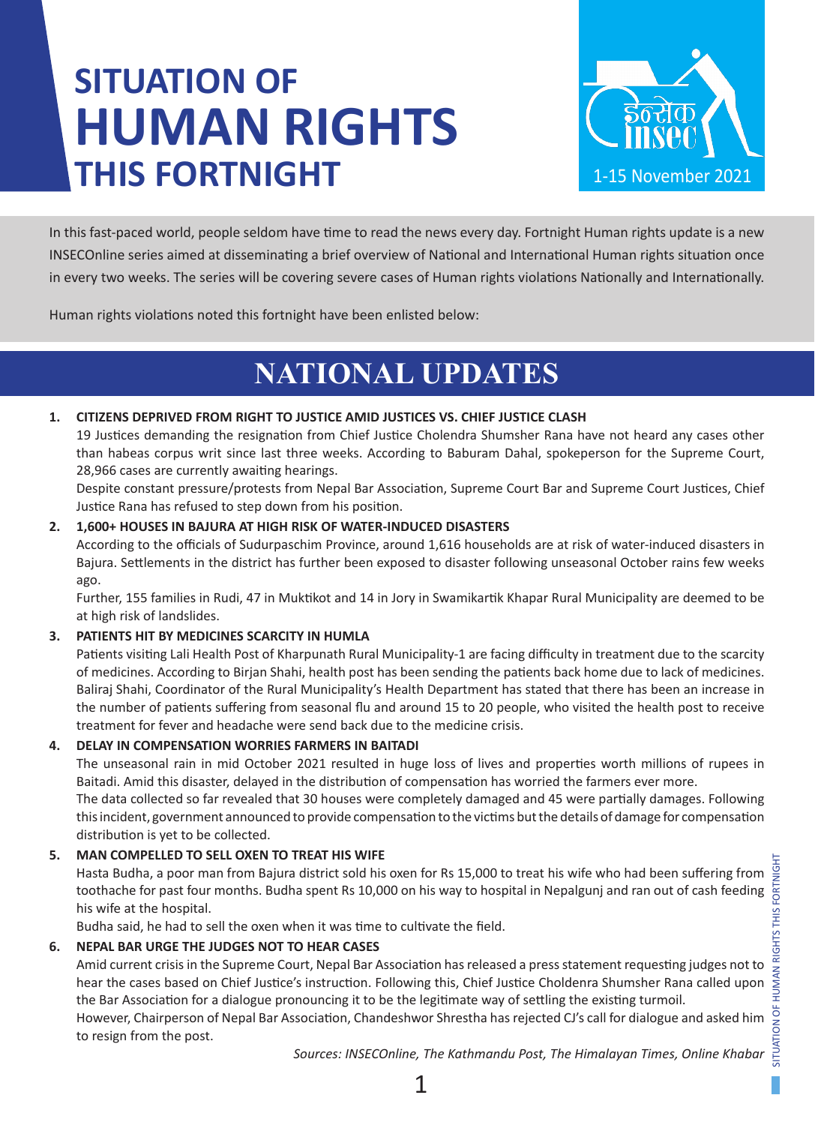# **SITUATION OF HUMAN RIGHTS THIS FORTNIGHT**



In this fast-paced world, people seldom have time to read the news every day. Fortnight Human rights update is a new INSECOnline series aimed at disseminating a brief overview of National and International Human rights situation once in every two weeks. The series will be covering severe cases of Human rights violations Nationally and Internationally.

Human rights violations noted this fortnight have been enlisted below:

### **NATIONAL UPDATES**

### **1. CITIZENS DEPRIVED FROM RIGHT TO JUSTICE AMID JUSTICES VS. CHIEF JUSTICE CLASH**

19 Justices demanding the resignation from Chief Justice Cholendra Shumsher Rana have not heard any cases other than habeas corpus writ since last three weeks. According to Baburam Dahal, spokeperson for the Supreme Court, 28,966 cases are currently awaiting hearings.

Despite constant pressure/protests from Nepal Bar Association, Supreme Court Bar and Supreme Court Justices, Chief Justice Rana has refused to step down from his position.

### **2. 1,600+ HOUSES IN BAJURA AT HIGH RISK OF WATER-INDUCED DISASTERS**

According to the officials of Sudurpaschim Province, around 1,616 households are at risk of water-induced disasters in Bajura. Settlements in the district has further been exposed to disaster following unseasonal October rains few weeks ago.

Further, 155 families in Rudi, 47 in Muktikot and 14 in Jory in Swamikartik Khapar Rural Municipality are deemed to be at high risk of landslides.

### **3. PATIENTS HIT BY MEDICINES SCARCITY IN HUMLA**

Patients visiting Lali Health Post of Kharpunath Rural Municipality-1 are facing difficulty in treatment due to the scarcity of medicines. According to Birjan Shahi, health post has been sending the patients back home due to lack of medicines. Baliraj Shahi, Coordinator of the Rural Municipality's Health Department has stated that there has been an increase in the number of patients suffering from seasonal flu and around 15 to 20 people, who visited the health post to receive treatment for fever and headache were send back due to the medicine crisis.

### **4. DELAY IN COMPENSATION WORRIES FARMERS IN BAITADI**

The unseasonal rain in mid October 2021 resulted in huge loss of lives and properties worth millions of rupees in Baitadi. Amid this disaster, delayed in the distribution of compensation has worried the farmers ever more.

The data collected so far revealed that 30 houses were completely damaged and 45 were partially damages. Following this incident, government announced to provide compensation to the victims but the details of damage for compensation distribution is yet to be collected.

### **5. MAN COMPELLED TO SELL OXEN TO TREAT HIS WIFE**

Hasta Budha, a poor man from Bajura district sold his oxen for Rs 15,000 to treat his wife who had been suffering from toothache for past four months. Budha spent Rs 10,000 on his way to hospital in Nepalgunj and ran out of cash feeding his wife at the hospital.

Budha said, he had to sell the oxen when it was time to cultivate the field.

### **6. NEPAL BAR URGE THE JUDGES NOT TO HEAR CASES**

Amid current crisis in the Supreme Court, Nepal Bar Association has released a press statement requesting judges not to hear the cases based on Chief Justice's instruction. Following this, Chief Justice Choldenra Shumsher Rana called upon the Bar Association for a dialogue pronouncing it to be the legitimate way of settling the existing turmoil. However, Chairperson of Nepal Bar Association, Chandeshwor Shrestha has rejected CJ's call for dialogue and asked him

to resign from the post.

*Sources: INSECOnline, The Kathmandu Post, The Himalayan Times, Online Khabar*